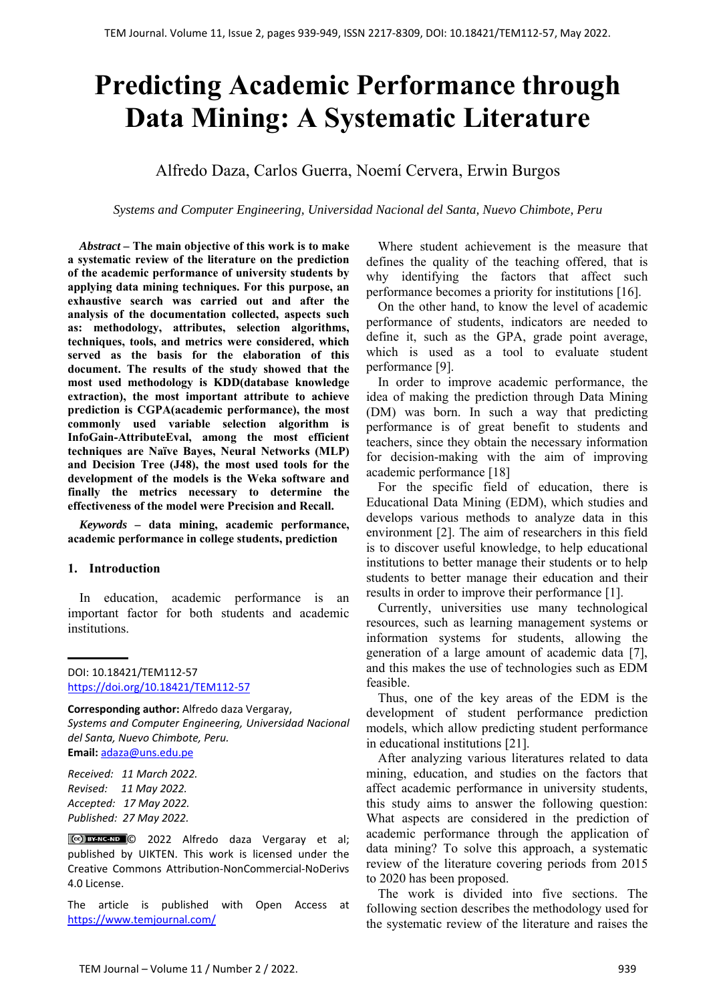# **Predicting Academic Performance through Data Mining: A Systematic Literature**

# Alfredo Daza, Carlos Guerra, Noemí Cervera, Erwin Burgos

*Systems and Computer Engineering, Universidad Nacional del Santa, Nuevo Chimbote, Peru*

*Abstract –* **The main objective of this work is to make a systematic review of the literature on the prediction of the academic performance of university students by applying data mining techniques. For this purpose, an exhaustive search was carried out and after the analysis of the documentation collected, aspects such as: methodology, attributes, selection algorithms, techniques, tools, and metrics were considered, which served as the basis for the elaboration of this document. The results of the study showed that the most used methodology is KDD(database knowledge extraction), the most important attribute to achieve prediction is CGPA(academic performance), the most commonly used variable selection algorithm is InfoGain-AttributeEval, among the most efficient techniques are Naïve Bayes, Neural Networks (MLP) and Decision Tree (J48), the most used tools for the development of the models is the Weka software and finally the metrics necessary to determine the effectiveness of the model were Precision and Recall.**

*Keywords –* **data mining, academic performance, academic performance in college students, prediction** 

## **1. Introduction**

In education, academic performance is an important factor for both students and academic institutions.

**Corresponding author:** Alfredo daza Vergaray, *Systems and Computer Engineering, Universidad Nacional del Santa, Nuevo Chimbote, Peru.*  **Email:** adaza@uns.edu.pe

*Received: 11 March 2022. Revised: 11 May 2022. Accepted: 17 May 2022. Published: 27 May 2022.* 

© 2022 Alfredo daza Vergaray et al; published by UIKTEN. This work is licensed under the Creative Commons Attribution‐NonCommercial‐NoDerivs 4.0 License.

The article is published with Open Access at https://www.temjournal.com/

Where student achievement is the measure that defines the quality of the teaching offered, that is why identifying the factors that affect such performance becomes a priority for institutions [16].

On the other hand, to know the level of academic performance of students, indicators are needed to define it, such as the GPA, grade point average, which is used as a tool to evaluate student performance [9].

In order to improve academic performance, the idea of making the prediction through Data Mining (DM) was born. In such a way that predicting performance is of great benefit to students and teachers, since they obtain the necessary information for decision-making with the aim of improving academic performance [18]

For the specific field of education, there is Educational Data Mining (EDM), which studies and develops various methods to analyze data in this environment [2]. The aim of researchers in this field is to discover useful knowledge, to help educational institutions to better manage their students or to help students to better manage their education and their results in order to improve their performance [1].

Currently, universities use many technological resources, such as learning management systems or information systems for students, allowing the generation of a large amount of academic data [7], and this makes the use of technologies such as EDM feasible.

Thus, one of the key areas of the EDM is the development of student performance prediction models, which allow predicting student performance in educational institutions [21].

After analyzing various literatures related to data mining, education, and studies on the factors that affect academic performance in university students, this study aims to answer the following question: What aspects are considered in the prediction of academic performance through the application of data mining? To solve this approach, a systematic review of the literature covering periods from 2015 to 2020 has been proposed.

The work is divided into five sections. The following section describes the methodology used for the systematic review of the literature and raises the

DOI: 10.18421/TEM112-57 [https://doi.org/10.18421/TEM112](https://doi.org/10.18421/TEM112-57)-57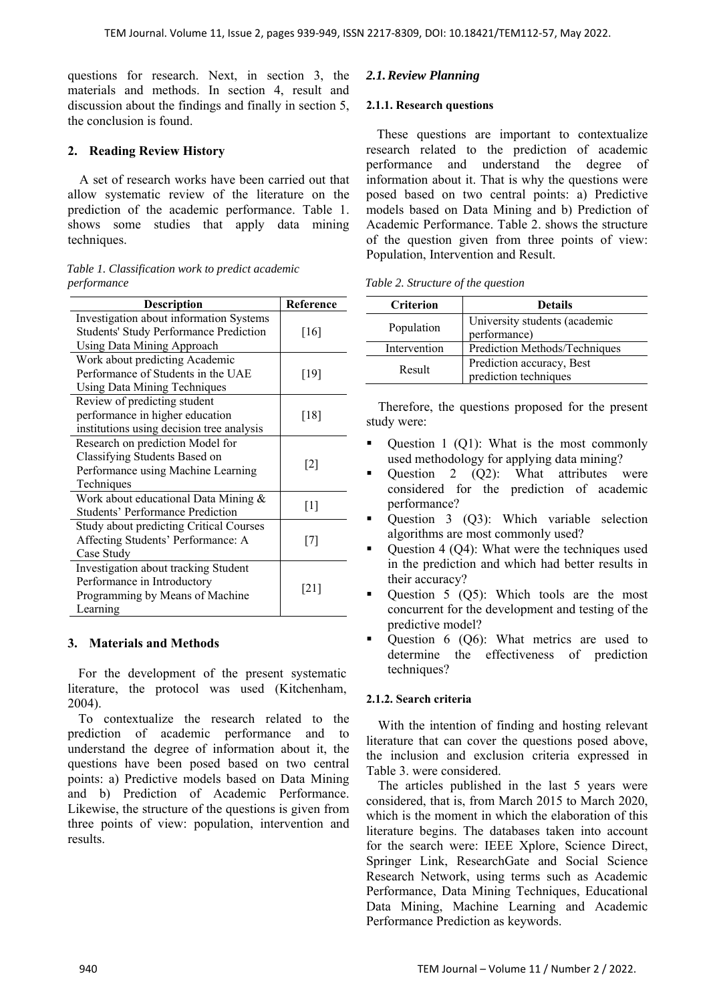questions for research. Next, in section 3, the materials and methods. In section 4, result and discussion about the findings and finally in section 5, the conclusion is found.

# **2. Reading Review History**

A set of research works have been carried out that allow systematic review of the literature on the prediction of the academic performance. Table 1. shows some studies that apply data mining techniques.

#### *Table 1. Classification work to predict academic performance*

| <b>Description</b>                            | Reference         |
|-----------------------------------------------|-------------------|
| Investigation about information Systems       |                   |
| <b>Students' Study Performance Prediction</b> | [16]              |
| <b>Using Data Mining Approach</b>             |                   |
| Work about predicting Academic                |                   |
| Performance of Students in the UAE            | $[19]$            |
| <b>Using Data Mining Techniques</b>           |                   |
| Review of predicting student                  |                   |
| performance in higher education               | [18]              |
| institutions using decision tree analysis     |                   |
| Research on prediction Model for              |                   |
| Classifying Students Based on                 |                   |
| Performance using Machine Learning            | $\lceil 2 \rceil$ |
| Techniques                                    |                   |
| Work about educational Data Mining &          |                   |
| <b>Students' Performance Prediction</b>       | $\lceil 1 \rceil$ |
| Study about predicting Critical Courses       |                   |
| Affecting Students' Performance: A            | [7]               |
| Case Study                                    |                   |
| Investigation about tracking Student          |                   |
| Performance in Introductory                   |                   |
| Programming by Means of Machine               | [21]              |
| Learning                                      |                   |

# **3. Materials and Methods**

For the development of the present systematic literature, the protocol was used (Kitchenham, 2004).

To contextualize the research related to the prediction of academic performance and to understand the degree of information about it, the questions have been posed based on two central points: a) Predictive models based on Data Mining and b) Prediction of Academic Performance. Likewise, the structure of the questions is given from three points of view: population, intervention and results.

# *2.1.Review Planning*

## **2.1.1. Research questions**

These questions are important to contextualize research related to the prediction of academic performance and understand the degree of information about it. That is why the questions were posed based on two central points: a) Predictive models based on Data Mining and b) Prediction of Academic Performance. Table 2. shows the structure of the question given from three points of view: Population, Intervention and Result.

|  | Table 2. Structure of the question |  |  |
|--|------------------------------------|--|--|
|--|------------------------------------|--|--|

| <b>Criterion</b> | <b>Details</b>                                     |
|------------------|----------------------------------------------------|
| Population       | University students (academic<br>performance)      |
| Intervention     | Prediction Methods/Techniques                      |
| Result           | Prediction accuracy, Best<br>prediction techniques |

Therefore, the questions proposed for the present study were:

- Ouestion 1 (O1): What is the most commonly used methodology for applying data mining?
- Question 2  $(Q2)$ : What attributes were considered for the prediction of academic performance?
- Question 3 (Q3): Which variable selection algorithms are most commonly used?
- Question 4 (Q4): What were the techniques used in the prediction and which had better results in their accuracy?
- Question 5 (Q5): Which tools are the most concurrent for the development and testing of the predictive model?
- Question 6 (Q6): What metrics are used to determine the effectiveness of prediction techniques?

# **2.1.2. Search criteria**

With the intention of finding and hosting relevant literature that can cover the questions posed above, the inclusion and exclusion criteria expressed in Table 3. were considered.

The articles published in the last 5 years were considered, that is, from March 2015 to March 2020, which is the moment in which the elaboration of this literature begins. The databases taken into account for the search were: IEEE Xplore, Science Direct, Springer Link, ResearchGate and Social Science Research Network, using terms such as Academic Performance, Data Mining Techniques, Educational Data Mining, Machine Learning and Academic Performance Prediction as keywords.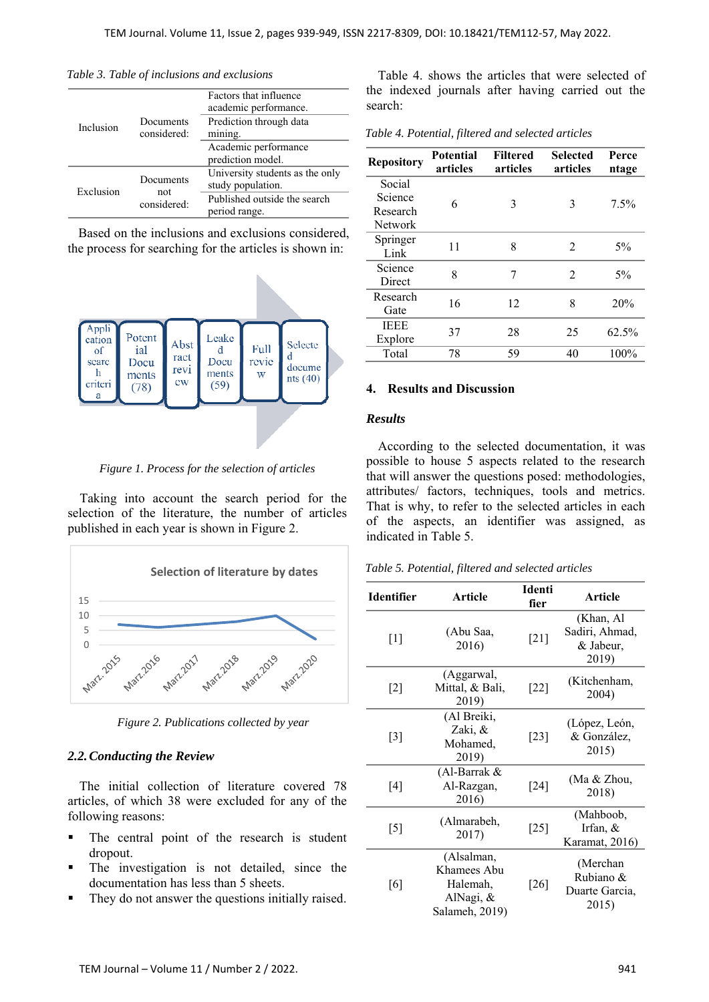|           |                                           | Factors that influence<br>academic performance.      |
|-----------|-------------------------------------------|------------------------------------------------------|
| Inclusion | Documents<br>considered:                  | Prediction through data<br>mining.                   |
|           | Academic performance<br>prediction model. |                                                      |
| Exclusion | Documents                                 | University students as the only<br>study population. |
|           | not<br>considered:                        | Published outside the search<br>period range.        |

*Table 3. Table of inclusions and exclusions* 

Based on the inclusions and exclusions considered, the process for searching for the articles is shown in:



*Figure 1. Process for the selection of articles* 

Taking into account the search period for the selection of the literature, the number of articles published in each year is shown in Figure 2.



*Figure 2. Publications collected by year* 

#### *2.2.Conducting the Review*

The initial collection of literature covered 78 articles, of which 38 were excluded for any of the following reasons:

- The central point of the research is student dropout.
- The investigation is not detailed, since the documentation has less than 5 sheets.
- They do not answer the questions initially raised.

Table 4. shows the articles that were selected of the indexed journals after having carried out the search:

*Table 4. Potential, filtered and selected articles* 

| <b>Repository</b> | <b>Potential</b><br>articles | <b>Filtered</b><br>articles | <b>Selected</b><br>articles | Perce<br>ntage |
|-------------------|------------------------------|-----------------------------|-----------------------------|----------------|
| Social            |                              |                             |                             |                |
| Science           | 6                            | 3                           | 3                           | $7.5\%$        |
| Research          |                              |                             |                             |                |
| <b>Network</b>    |                              |                             |                             |                |
| Springer<br>Link  | 11                           | 8                           | $\mathfrak{D}$              | $5\%$          |
| Science<br>Direct | 8                            | 7                           | $\mathfrak{D}$              | $5\%$          |
| Research          | 16                           | 12                          | 8                           | 20%            |
| Gate              |                              |                             |                             |                |
| <b>IEEE</b>       |                              |                             |                             |                |
| Explore           | 37                           | 28                          | 25                          | 62.5%          |
| Total             | 78                           | 59                          | 40                          | 100%           |
|                   |                              |                             |                             |                |

### **4. Results and Discussion**

#### *Results*

According to the selected documentation, it was possible to house 5 aspects related to the research that will answer the questions posed: methodologies, attributes/ factors, techniques, tools and metrics. That is why, to refer to the selected articles in each of the aspects, an identifier was assigned, as indicated in Table 5.

*Table 5. Potential, filtered and selected articles* 

| <b>Identifier</b> | Article                                                              | <b>Identi</b><br>fier | <b>Article</b>                                    |
|-------------------|----------------------------------------------------------------------|-----------------------|---------------------------------------------------|
| $\lceil 1 \rceil$ | (Abu Saa,<br>2016)                                                   | [21]                  | (Khan, Al<br>Sadiri, Ahmad,<br>& Jabeur,<br>2019) |
| $\lceil 2 \rceil$ | (Aggarwal,<br>Mittal, & Bali,<br>2019)                               | $[22]$                | (Kitchenham,<br>2004)                             |
| $\lceil 3 \rceil$ | (Al Breiki,<br>Zaki, &<br>Mohamed,<br>2019)                          | $[23]$                | (López, León,<br>& González,<br>2015)             |
| [4]               | (Al-Barrak &<br>Al-Razgan,<br>2016)                                  | $[24]$                | (Ma & Zhou,<br>2018)                              |
| $[5]$             | (Almarabeh,<br>2017)                                                 | [25]                  | (Mahboob,<br>Irfan, &<br>Karamat, 2016)           |
| [6]               | (Alsalman,<br>Khamees Abu<br>Halemah,<br>AlNagi, &<br>Salameh, 2019) | $[26]$                | (Merchan<br>Rubiano &<br>Duarte Garcia,<br>2015)  |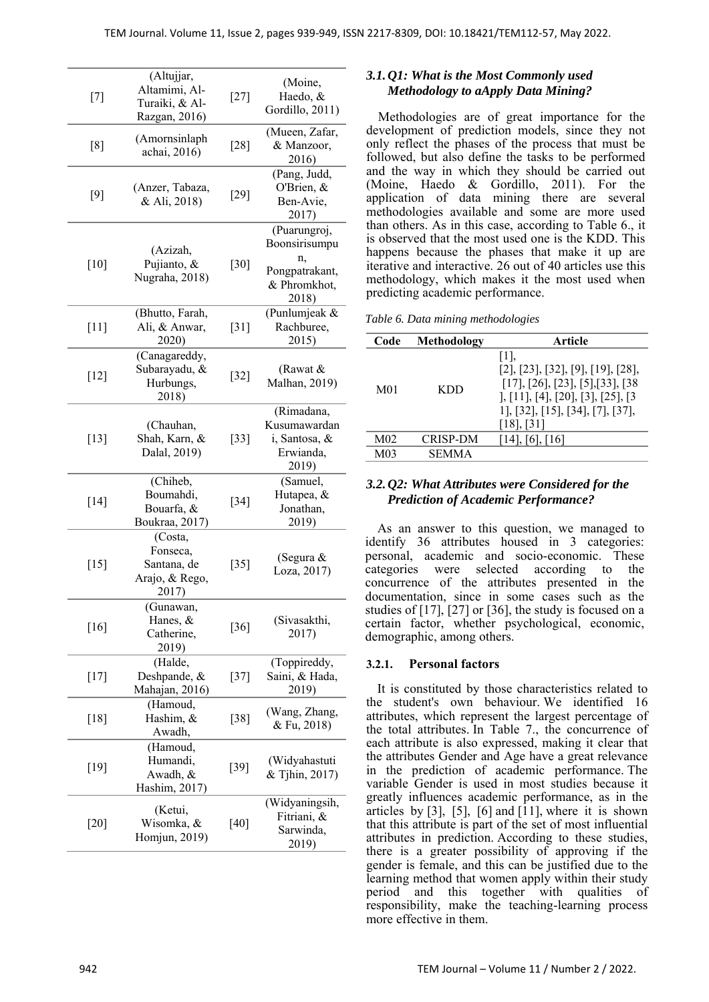| [7]    | (Altujjar,<br>Altamimi, Al-<br>Turaiki, & Al-<br>Razgan, 2016) | $[27]$ | (Moine,<br>Haedo, &<br>Gordillo, 2011)                                         |
|--------|----------------------------------------------------------------|--------|--------------------------------------------------------------------------------|
| [8]    | (Amornsinlaph<br>achai, 2016)                                  | $[28]$ | (Mueen, Zafar,<br>& Manzoor,<br>2016)                                          |
| $[9]$  | (Anzer, Tabaza,<br>& Ali, 2018)                                | $[29]$ | (Pang, Judd,<br>O'Brien, &<br>Ben-Avie,<br>2017)                               |
| $[10]$ | (Azizah,<br>Pujianto, &<br>Nugraha, 2018)                      | $[30]$ | (Puarungroj,<br>Boonsirisumpu<br>n,<br>Pongpatrakant,<br>& Phromkhot,<br>2018) |
| [11]   | (Bhutto, Farah,<br>Ali, & Anwar,<br>2020)                      | $[31]$ | (Punlumjeak &<br>Rachburee,<br>2015)                                           |
| $[12]$ | (Canagareddy,<br>Subarayadu, &<br>Hurbungs,<br>2018)           | $[32]$ | (Rawat &<br>Malhan, 2019)                                                      |
| $[13]$ | (Chauhan,<br>Shah, Karn, &<br>Dalal, 2019)                     | $[33]$ | (Rimadana,<br>Kusumawardan<br>i, Santosa, &<br>Erwianda,<br>2019)              |
| $[14]$ | (Chiheb,<br>Boumahdi,<br>Bouarfa, &<br>Boukraa, 2017)          | $[34]$ | (Samuel,<br>Hutapea, &<br>Jonathan,<br>2019)                                   |
| $[15]$ | (Costa,<br>Fonseca,<br>Santana, de<br>Arajo, & Rego,<br>2017)  | $[35]$ | (Segura &<br>Loza, 2017)                                                       |
| $[16]$ | (Gunawan,<br>Hanes, &<br>Catherine,<br>2019)                   | $[36]$ | (Sivasakthi,<br>2017)                                                          |
| $[17]$ | (Halde,<br>Deshpande, &<br>Mahajan, 2016)                      | $[37]$ | (Toppireddy,<br>Saini, & Hada,<br>2019)                                        |
| [18]   | (Hamoud,<br>Hashim, &<br>Awadh,                                | $[38]$ | (Wang, Zhang,<br>& Fu, 2018)                                                   |
| $[19]$ | (Hamoud,<br>Humandi,<br>Awadh, &<br>Hashim, 2017)              | [39]   | (Widyahastuti<br>& Tjhin, 2017)                                                |
| $[20]$ | (Ketui,<br>Wisomka, &<br>Homjun, 2019)                         | $[40]$ | (Widyaningsih,<br>Fitriani, &<br>Sarwinda,<br>2019)                            |

# *3.1.Q1: What is the Most Commonly used Methodology to aApply Data Mining?*

Methodologies are of great importance for the development of prediction models, since they not only reflect the phases of the process that must be followed, but also define the tasks to be performed and the way in which they should be carried out (Moine, Haedo & Gordillo, 2011). For the application of data mining there are several methodologies available and some are more used than others. As in this case, according to Table 6., it is observed that the most used one is the KDD. This happens because the phases that make it up are iterative and interactive. 26 out of 40 articles use this methodology, which makes it the most used when predicting academic performance.

|  |  |  |  | Table 6. Data mining methodologies |  |
|--|--|--|--|------------------------------------|--|
|--|--|--|--|------------------------------------|--|

| Code            | Methodology     | Article                                                                                                                                                                                                                                                                       |
|-----------------|-----------------|-------------------------------------------------------------------------------------------------------------------------------------------------------------------------------------------------------------------------------------------------------------------------------|
| M01             | KDD             | $\lceil 1 \rceil$ ,<br>$[2]$ , $[23]$ , $[32]$ , $[9]$ , $[19]$ , $[28]$ ,<br>[17], [26], [23], [5], [33], [38]<br>$\left[11\right], \left[4\right], \left[20\right], \left[3\right], \left[25\right], \left[3\right]$<br>1], [32], [15], [34], [7], [37],<br>$[18]$ , $[31]$ |
| M <sub>02</sub> | <b>CRISP-DM</b> | [14], [6], [16]                                                                                                                                                                                                                                                               |
| M <sub>03</sub> | SEMMA           |                                                                                                                                                                                                                                                                               |

## *3.2.Q2: What Attributes were Considered for the Prediction of Academic Performance?*

As an answer to this question, we managed to identify 36 attributes housed in 3 categories: personal, academic and socio-economic. These categories were selected according to the concurrence of the attributes presented in the documentation, since in some cases such as the studies of [17], [27] or [36], the study is focused on a certain factor, whether psychological, economic, demographic, among others.

## **3.2.1. Personal factors**

It is constituted by those characteristics related to the student's own behaviour. We identified 16 attributes, which represent the largest percentage of the total attributes. In Table 7., the concurrence of each attribute is also expressed, making it clear that the attributes Gender and Age have a great relevance in the prediction of academic performance. The variable Gender is used in most studies because it greatly influences academic performance, as in the articles by  $[3]$ ,  $[5]$ ,  $[6]$  and  $[11]$ , where it is shown that this attribute is part of the set of most influential attributes in prediction. According to these studies, there is a greater possibility of approving if the gender is female, and this can be justified due to the learning method that women apply within their study period and this together with qualities of responsibility, make the teaching-learning process more effective in them.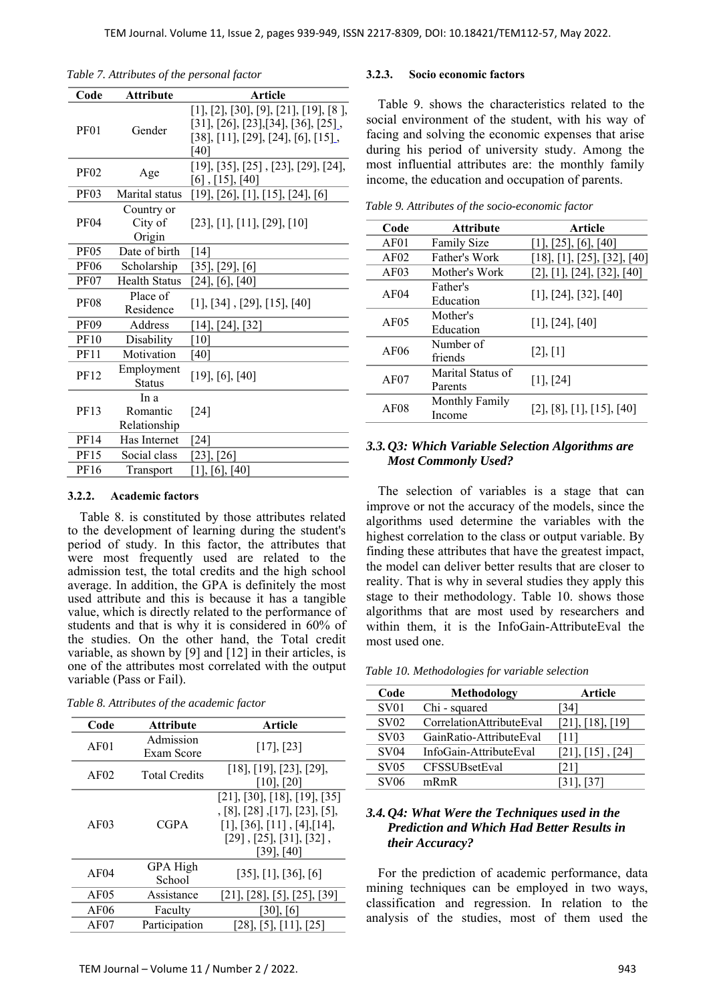| Code             | <b>Attribute</b>                 | <b>Article</b>                                                                                                             |
|------------------|----------------------------------|----------------------------------------------------------------------------------------------------------------------------|
| <b>PF01</b>      | Gender                           | [1], [2], [30], [9], [21], [19], [8],<br>[31], [26], [23], [34], [36], [25],<br>[38], [11], [29], [24], [6], [15],<br>[40] |
| <b>PF02</b>      | Age                              | [19], [35], [25], [23], [29], [24],<br>$[6]$ , $[15]$ , $[40]$                                                             |
| PF <sub>03</sub> | Marital status                   | [19], [26], [1], [15], [24], [6]                                                                                           |
| <b>PF04</b>      | Country or<br>City of<br>Origin  | [23], [1], [11], [29], [10]                                                                                                |
| <b>PF05</b>      | Date of birth                    | [14]                                                                                                                       |
| <b>PF06</b>      | Scholarship                      | $[35]$ , $[29]$ , $[6]$                                                                                                    |
| <b>PF07</b>      | <b>Health Status</b>             | [24], [6], [40]                                                                                                            |
| <b>PF08</b>      | Place of<br>Residence            | [1], [34], [29], [15], [40]                                                                                                |
| <b>PF09</b>      | Address                          | [14], [24], [32]                                                                                                           |
| <b>PF10</b>      | Disability                       | [10]                                                                                                                       |
| <b>PF11</b>      | Motivation                       | [40]                                                                                                                       |
| <b>PF12</b>      | Employment<br><b>Status</b>      | $[19]$ , $[6]$ , $[40]$                                                                                                    |
| PF13             | In a<br>Romantic<br>Relationship | $[24]$                                                                                                                     |
| PF14             | Has Internet                     | [24]                                                                                                                       |
| <b>PF15</b>      | Social class                     | $[23]$ , $[26]$                                                                                                            |
| PF16             | Transport                        | [1], [6], [40]                                                                                                             |

*Table 7. Attributes of the personal factor* 

#### **3.2.2. Academic factors**

Table 8. is constituted by those attributes related to the development of learning during the student's period of study. In this factor, the attributes that were most frequently used are related to the admission test, the total credits and the high school average. In addition, the GPA is definitely the most used attribute and this is because it has a tangible value, which is directly related to the performance of students and that is why it is considered in 60% of the studies. On the other hand, the Total credit variable, as shown by [9] and [12] in their articles, is one of the attributes most correlated with the output variable (Pass or Fail).

| Table 8. Attributes of the academic factor |  |  |  |  |
|--------------------------------------------|--|--|--|--|
|--------------------------------------------|--|--|--|--|

| Code             | <b>Attribute</b>        | <b>Article</b>                                                                                                                                                       |
|------------------|-------------------------|----------------------------------------------------------------------------------------------------------------------------------------------------------------------|
| AF01             | Admission<br>Exam Score | $[17]$ , $[23]$                                                                                                                                                      |
| AF02             | <b>Total Credits</b>    | $[18]$ , [19], [23], [29],<br>$[10]$ , $[20]$                                                                                                                        |
| AF03             | <b>CGPA</b>             | $[21]$ , $[30]$ , $[18]$ , $[19]$ , $[35]$<br>, [8], [28], [17], [23], [5],<br>[1], [36], [11], [4], [14],<br>$[29]$ , $[25]$ , $[31]$ , $[32]$ ,<br>$[39]$ , $[40]$ |
| AF <sub>04</sub> | GPA High<br>School      | $[35]$ , [1], [36], [6]                                                                                                                                              |
| AF05             | Assistance              | [21], [28], [5], [25], [39]                                                                                                                                          |
| AF <sub>06</sub> | Faculty                 | $[30]$ , $[6]$                                                                                                                                                       |
| AF07             | Participation           | $[28]$ , [5], [11], [25]                                                                                                                                             |

#### **3.2.3. Socio economic factors**

Table 9. shows the characteristics related to the social environment of the student, with his way of facing and solving the economic expenses that arise during his period of university study. Among the most influential attributes are: the monthly family income, the education and occupation of parents.

*Table 9. Attributes of the socio-economic factor* 

| Code             | <b>Attribute</b>             | <b>Article</b>                           |
|------------------|------------------------------|------------------------------------------|
| AF01             | <b>Family Size</b>           | [1], [25], [6], [40]                     |
| AF02             | Father's Work                | [18], [1], [25], [32], [40]              |
| AF03             | Mother's Work                | $[2]$ , $[1]$ , $[24]$ , $[32]$ , $[40]$ |
| AF04             | Father's<br>Education        | $[1]$ , $[24]$ , $[32]$ , $[40]$         |
| AF <sub>05</sub> | Mother's<br>Education        | $[1]$ , $[24]$ , $[40]$                  |
| AF06             | Number of<br>friends         | [2], [1]                                 |
| AF07             | Marital Status of<br>Parents | $[1]$ , $[24]$                           |
| AF08             | Monthly Family<br>Income     | $[2]$ , $[8]$ , $[1]$ , $[15]$ , $[40]$  |

#### *3.3.Q3: Which Variable Selection Algorithms are Most Commonly Used?*

The selection of variables is a stage that can improve or not the accuracy of the models, since the algorithms used determine the variables with the highest correlation to the class or output variable. By finding these attributes that have the greatest impact, the model can deliver better results that are closer to reality. That is why in several studies they apply this stage to their methodology. Table 10. shows those algorithms that are most used by researchers and within them, it is the InfoGain-AttributeEval the most used one.

*Table 10. Methodologies for variable selection* 

| Code              | <b>Methodology</b>       | Article                  |
|-------------------|--------------------------|--------------------------|
| SV <sub>01</sub>  | Chi - squared            | [34]                     |
| SV02              | CorrelationAttributeEval | $[21]$ , $[18]$ , $[19]$ |
| S <sub>V</sub> 03 | GainRatio-AttributeEval  | [11]                     |
| S <sub>V</sub> 04 | InfoGain-AttributeEval   | [21], [15], [24]         |
| <b>SV05</b>       | CFSSUBsetEval            | [21]                     |
| SV <sub>06</sub>  | mRmR                     | [31], [37]               |

### *3.4.Q4: What Were the Techniques used in the Prediction and Which Had Better Results in their Accuracy?*

For the prediction of academic performance, data mining techniques can be employed in two ways, classification and regression. In relation to the analysis of the studies, most of them used the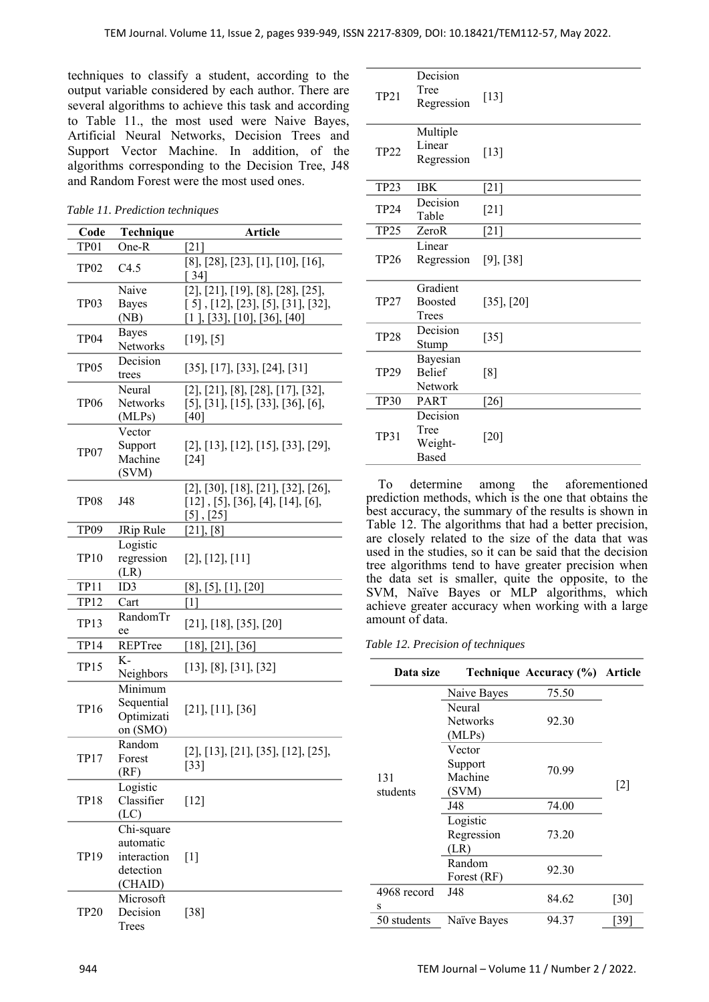techniques to classify a student, according to the output variable considered by each author. There are several algorithms to achieve this task and according to Table 11., the most used were Naive Bayes, Artificial Neural Networks, Decision Trees and Support Vector Machine. In addition, of the algorithms corresponding to the Decision Tree, J48 and Random Forest were the most used ones.

*Table 11. Prediction techniques* 

| Code             | Technique                                                      | <b>Article</b>                                                                                                                        |
|------------------|----------------------------------------------------------------|---------------------------------------------------------------------------------------------------------------------------------------|
| TP01             | One-R                                                          | $[21]$                                                                                                                                |
| TP <sub>02</sub> | C4.5                                                           | $[8]$ , $[28]$ , $[23]$ , $[1]$ , $[10]$ , $[16]$ ,<br>[ 34]                                                                          |
| TP03             | Naive<br><b>Bayes</b><br>(NB)                                  | [2], [21], [19], [8], [28], [25],<br>$[5]$ , $[12]$ , $[23]$ , $[5]$ , $[31]$ , $[32]$ ,<br>$[1]$ , $[33]$ , $[10]$ , $[36]$ , $[40]$ |
| TP04             | <b>Bayes</b><br>Networks                                       | [19], [5]                                                                                                                             |
| TP <sub>05</sub> | Decision<br>trees                                              | [35], [17], [33], [24], [31]                                                                                                          |
| TP <sub>06</sub> | Neural<br>Networks<br>(MLPs)                                   | $[2]$ , $[21]$ , $[8]$ , $[28]$ , $[17]$ , $[32]$ ,<br>$[5]$ , $[31]$ , $[15]$ , $[33]$ , $[36]$ , $[6]$ ,<br>[40]                    |
| TP07             | Vector<br>Support<br>Machine<br>(SVM)                          | [2], [13], [12], [15], [33], [29],<br>$\lceil 24 \rceil$                                                                              |
| TP08             | J48                                                            | $[2]$ , $[30]$ , $[18]$ , $[21]$ , $[32]$ , $[26]$ ,<br>$[12]$ , [5], [36], [4], [14], [6],<br>$[5]$ , $[25]$                         |
| TP09             | JRip Rule                                                      | $[21]$ , $[8]$                                                                                                                        |
| <b>TP10</b>      | Logistic<br>regression<br>(LR)                                 | $[2]$ , $[12]$ , $[11]$                                                                                                               |
| <b>TP11</b>      | ID3                                                            | [8], [5], [1], [20]                                                                                                                   |
| <b>TP12</b>      | Cart                                                           | $\lceil 1 \rceil$                                                                                                                     |
| <b>TP13</b>      | RandomTr<br>ee                                                 | $[21]$ , [18], [35], [20]                                                                                                             |
| TP14             | REPTree                                                        | $[18]$ , $[21]$ , $[36]$                                                                                                              |
| <b>TP15</b>      | $K-$<br>Neighbors                                              | $[13]$ , $[8]$ , $[31]$ , $[32]$                                                                                                      |
| <b>TP16</b>      | Minimum<br>Sequential<br>Optimizati<br>on (SMO)                | [21], [11], [36]                                                                                                                      |
| TP17             | Random<br>Forest<br>(RF)                                       | [2], [13], [21], [35], [12], [25],<br>$[33]$                                                                                          |
| <b>TP18</b>      | Logistic<br>Classifier<br>(LC)                                 | $[12]$                                                                                                                                |
| TP19             | Chi-square<br>automatic<br>interaction<br>detection<br>(CHAID) | $[1]$                                                                                                                                 |
| <b>TP20</b>      | Microsoft<br>Decision<br>Trees                                 | $[38]$                                                                                                                                |

| <b>TP21</b>      | Decision<br>Tree<br>Regression              | $[13]$          |
|------------------|---------------------------------------------|-----------------|
| <b>TP22</b>      | Multiple<br>Linear<br>Regression            | $[13]$          |
| TP <sub>23</sub> | <b>IBK</b>                                  | $[21]$          |
| <b>TP24</b>      | Decision<br>Table                           | $[21]$          |
| TP <sub>25</sub> | ZeroR                                       | $[21]$          |
| <b>TP26</b>      | Linear<br>Regression                        | $[9]$ , $[38]$  |
| <b>TP27</b>      | Gradient<br>Boosted<br>Trees                | $[35]$ , $[20]$ |
| <b>TP28</b>      | Decision<br>Stump                           | $[35]$          |
| <b>TP29</b>      | Bayesian<br><b>Belief</b><br>Network        | [8]             |
| <b>TP30</b>      | PART                                        | $[26]$          |
| <b>TP31</b>      | Decision<br>Tree<br>Weight-<br><b>Based</b> | $[20]$          |

To determine among the aforementioned prediction methods, which is the one that obtains the best accuracy, the summary of the results is shown in Table 12. The algorithms that had a better precision, are closely related to the size of the data that was used in the studies, so it can be said that the decision tree algorithms tend to have greater precision when the data set is smaller, quite the opposite, to the SVM, Naïve Bayes or MLP algorithms, which achieve greater accuracy when working with a large amount of data.

#### *Table 12. Precision of techniques*

| Data size   |                           | Technique Accuracy (%) Article |       |
|-------------|---------------------------|--------------------------------|-------|
|             | Naive Bayes               | 75.50                          |       |
|             | Neural                    |                                |       |
|             | <b>Networks</b>           | 92.30                          |       |
|             | (MLPs)                    |                                |       |
|             | Vector                    |                                |       |
|             | Support                   |                                |       |
| 131         | 70.99<br>Machine<br>(SVM) |                                | $[2]$ |
| students    |                           |                                |       |
|             | J48                       | 74.00                          |       |
|             | Logistic                  |                                |       |
|             | Regression                | 73.20                          |       |
|             | (LR)                      |                                |       |
|             | Random                    | 92.30                          |       |
|             | Forest (RF)               |                                |       |
| 4968 record | J48                       | 84.62                          | [30]  |
| S           |                           |                                |       |
| 50 students | Naïve Bayes               | 94.37                          | [39]  |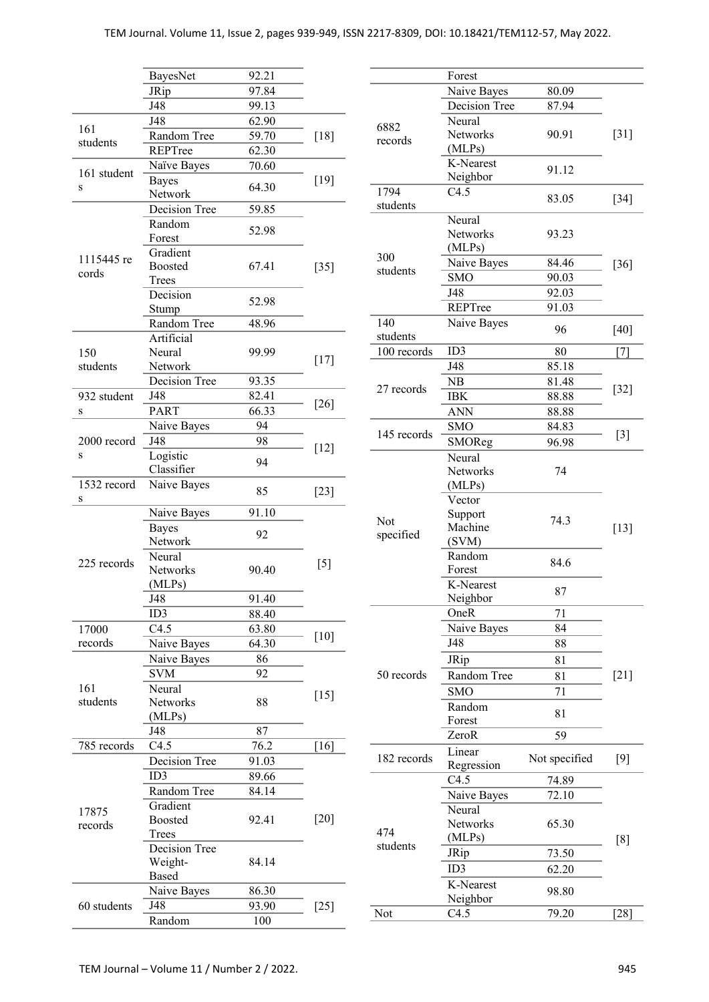|                  | <b>BayesNet</b>  | 92.21 |        |             | Forest           |               |        |
|------------------|------------------|-------|--------|-------------|------------------|---------------|--------|
|                  | JRip             | 97.84 |        |             | Naive Bayes      | 80.09         |        |
|                  | J48              | 99.13 |        |             | Decision Tree    | 87.94         |        |
|                  | $\overline{J48}$ | 62.90 |        | 6882        | Neural           |               |        |
| 161              | Random Tree      | 59.70 | $[18]$ | records     | Networks         | 90.91         | $[31]$ |
| students         | REPTree          | 62.30 |        |             | (MLPs)           |               |        |
|                  | Naïve Bayes      | 70.60 |        |             | K-Nearest        | 91.12         |        |
| 161 student      | <b>Bayes</b>     |       | $[19]$ |             | Neighbor         |               |        |
| ${\bf S}$        | Network          | 64.30 |        | 1794        | C4.5             | 83.05         | $[34]$ |
|                  | Decision Tree    | 59.85 |        | students    |                  |               |        |
|                  | Random           |       |        |             | Neural           |               |        |
|                  | Forest           | 52.98 |        |             | Networks         | 93.23         |        |
|                  | Gradient         |       |        | 300         | (MLPs)           |               |        |
| 1115445 re       | <b>Boosted</b>   | 67.41 | $[35]$ | students    | Naive Bayes      | 84.46         | $[36]$ |
| cords            | Trees            |       |        |             | <b>SMO</b>       | 90.03         |        |
|                  | Decision         | 52.98 |        |             | J48              | 92.03         |        |
|                  | Stump            |       |        |             | REPTree          | 91.03         |        |
|                  | Random Tree      | 48.96 |        | 140         | Naive Bayes      | 96            | [40]   |
|                  | Artificial       |       |        | students    |                  |               |        |
| 150              | Neural           | 99.99 | $[17]$ | 100 records | ID3              | 80            | $[7]$  |
| students         | Network          |       |        |             | J48              | 85.18         |        |
|                  | Decision Tree    | 93.35 |        | 27 records  | NB               | 81.48         |        |
| 932 student      | J48              | 82.41 | $[26]$ |             | <b>IBK</b>       | 88.88         | $[32]$ |
| S                | <b>PART</b>      | 66.33 |        |             | <b>ANN</b>       | 88.88         |        |
|                  | Naive Bayes      | 94    |        |             | <b>SMO</b>       | 84.83         |        |
| 2000 record      | J48              | 98    |        | 145 records | SMOReg           | 96.98         | $[3]$  |
| $\bf S$          | Logistic         | 94    | $[12]$ |             | Neural           |               |        |
|                  | Classifier       |       |        |             | Networks         | 74            |        |
| 1532 record      | Naive Bayes      | 85    |        |             | (MLPs)           |               |        |
| S                |                  |       | $[23]$ |             | Vector           |               |        |
|                  | Naive Bayes      | 91.10 |        | Not         | Support          | 74.3          |        |
|                  | <b>Bayes</b>     | 92    |        | specified   | Machine          |               | $[13]$ |
|                  | Network          |       |        |             | (SVM)            |               |        |
| 225 records      | Neural           |       | $[5]$  |             | Random           | 84.6          |        |
|                  | Networks         | 90.40 |        |             | Forest           |               |        |
|                  | (MLPs)           |       |        |             | K-Nearest        | 87            |        |
|                  | J48              | 91.40 |        |             | Neighbor         |               |        |
|                  | ID3              | 88.40 |        |             | OneR             | 71            |        |
| 17000            | C4.5             | 63.80 | $[10]$ |             | Naive Bayes      | 84            |        |
| records          | Naive Bayes      | 64.30 |        |             | J48              | 88            |        |
|                  | Naive Bayes      | 86    |        |             | JRip             | 81            |        |
|                  | <b>SVM</b>       | 92    |        | 50 records  | Random Tree      | 81            | $[21]$ |
| 161              | Neural           |       | $[15]$ |             | <b>SMO</b>       | 71            |        |
| students         | Networks         | 88    |        |             | Random           |               |        |
|                  | (MLPs)           |       |        |             | Forest           | 81            |        |
|                  | J48              | 87    |        |             | ZeroR            | 59            |        |
| 785 records      | C4.5             | 76.2  | [16]   |             | Linear           |               |        |
|                  | Decision Tree    | 91.03 |        | 182 records | Regression       | Not specified | $[9]$  |
|                  | ID3              | 89.66 |        |             | C4.5             | 74.89         |        |
| 17875<br>records | Random Tree      | 84.14 |        |             | Naive Bayes      | 72.10         |        |
|                  | Gradient         |       |        |             | Neural           |               |        |
|                  | Boosted          | 92.41 | $[20]$ |             | Networks         | 65.30         |        |
|                  | Trees            |       |        | 474         | (MLPs)           |               | [8]    |
|                  | Decision Tree    |       |        | students    | JRip             | 73.50         |        |
|                  | Weight-          | 84.14 |        |             | ID3              | 62.20         |        |
|                  | Based            |       |        |             |                  |               |        |
|                  | Naive Bayes      | 86.30 |        |             | K-Nearest        | 98.80         |        |
| 60 students      | J48              | 93.90 | $[25]$ | Not         | Neighbor<br>C4.5 | 79.20         |        |
|                  | Random           | 100   |        |             |                  |               | $[28]$ |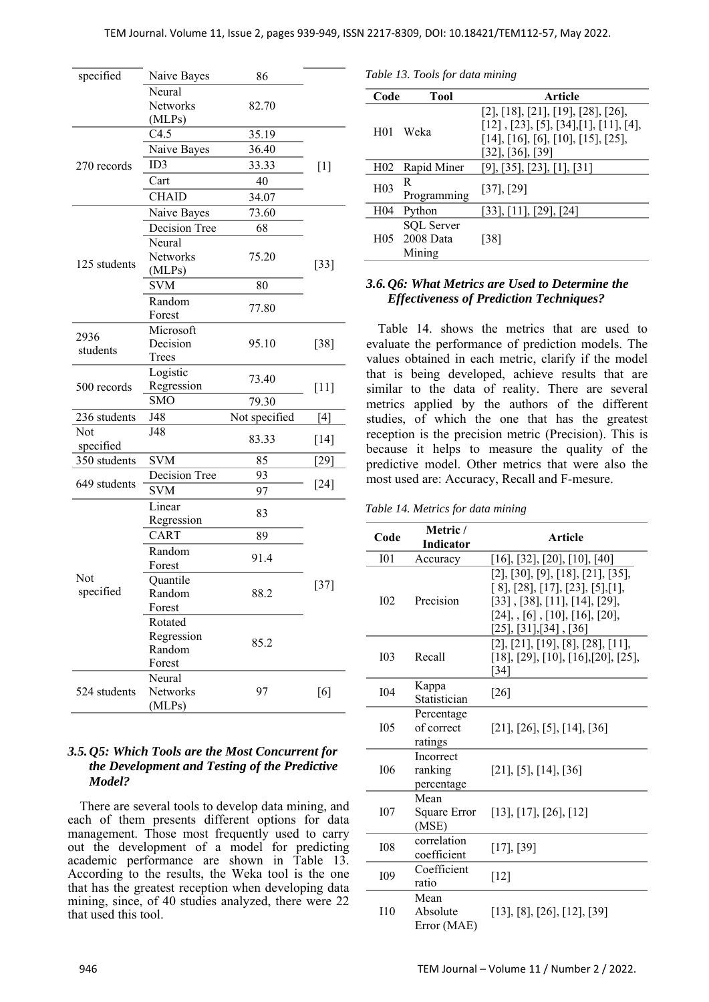| specified        | Naive Bayes                               | 86            |        |  |
|------------------|-------------------------------------------|---------------|--------|--|
|                  | Neural                                    |               |        |  |
|                  | <b>Networks</b>                           | 82.70         |        |  |
|                  | (MLPs)                                    |               |        |  |
|                  | C4.5                                      | 35.19         |        |  |
|                  | Naive Bayes                               | 36.40         |        |  |
| 270 records      | ID3                                       | 33.33         | $[1]$  |  |
|                  | Cart                                      | 40            |        |  |
|                  | <b>CHAID</b>                              | 34.07         |        |  |
|                  | Naive Bayes                               | 73.60         |        |  |
|                  | Decision Tree                             | 68            |        |  |
| 125 students     | Neural<br>Networks<br>(MLPs)              | 75.20         | $[33]$ |  |
|                  | <b>SVM</b>                                | 80            |        |  |
|                  | Random<br>Forest                          | 77.80         |        |  |
| 2936<br>students | Microsoft<br>Decision<br>Trees            | 95.10         | $[38]$ |  |
| 500 records      | Logistic<br>Regression                    | 73.40         | $[11]$ |  |
|                  | <b>SMO</b><br>79.30                       |               |        |  |
| 236 students     | J48                                       | Not specified | $[4]$  |  |
| Not              | J48                                       | 83.33         | $[14]$ |  |
| specified        |                                           |               |        |  |
| 350 students     | <b>SVM</b>                                | 85            | $[29]$ |  |
| 649 students     | Decision Tree                             | 93            | $[24]$ |  |
|                  | <b>SVM</b>                                | 97            |        |  |
|                  | Linear<br>Regression                      | 83            |        |  |
|                  | CART                                      | 89            |        |  |
|                  | Random<br>Forest                          | 91.4          |        |  |
| Not<br>specified | Quantile<br>Random<br>Forest              | 88.2          | $[37]$ |  |
|                  | Rotated<br>Regression<br>Random<br>Forest | 85.2          |        |  |
| 524 students     | Neural<br>Networks<br>(MLPs)              | 97            | [6]    |  |

## *3.5.Q5: Which Tools are the Most Concurrent for the Development and Testing of the Predictive Model?*

There are several tools to develop data mining, and each of them presents different options for data management. Those most frequently used to carry out the development of a model for predicting academic performance are shown in Table 13. According to the results, the Weka tool is the one that has the greatest reception when developing data mining, since, of 40 studies analyzed, there were 22 that used this tool.

*Table 13. Tools for data mining* 

| Code             | Tool                                         | Article                                                                                                                                                             |
|------------------|----------------------------------------------|---------------------------------------------------------------------------------------------------------------------------------------------------------------------|
| H <sub>01</sub>  | Weka                                         | [2], [18], [21], [19], [28], [26],<br>$[12]$ , $[23]$ , $[5]$ , $[34]$ , $[1]$ , $[11]$ , $[4]$ ,<br>[14], [16], [6], [10], [15], [25],<br>$[32]$ , $[36]$ , $[39]$ |
| H <sub>02</sub>  | Rapid Miner                                  | [9], [35], [23], [1], [31]                                                                                                                                          |
| H <sub>0</sub> 3 | R<br>Programming                             | $[37]$ , $[29]$                                                                                                                                                     |
| H <sub>04</sub>  | Python                                       | [33], [11], [29], [24]                                                                                                                                              |
|                  | <b>SQL</b> Server<br>H05 2008 Data<br>Mining | [38]                                                                                                                                                                |

# *3.6.Q6: What Metrics are Used to Determine the Effectiveness of Prediction Techniques?*

Table 14. shows the metrics that are used to evaluate the performance of prediction models. The values obtained in each metric, clarify if the model that is being developed, achieve results that are similar to the data of reality. There are several metrics applied by the authors of the different studies, of which the one that has the greatest reception is the precision metric (Precision). This is because it helps to measure the quality of the predictive model. Other metrics that were also the most used are: Accuracy, Recall and F-mesure.

*Table 14. Metrics for data mining* 

| Code            | Metric /<br>Indicator               | Article                                                                                                                                                                                                    |
|-----------------|-------------------------------------|------------------------------------------------------------------------------------------------------------------------------------------------------------------------------------------------------------|
| I <sub>01</sub> | Accuracy                            | $[16]$ , [32], [20], [10], [40]                                                                                                                                                                            |
| I <sub>02</sub> | Precision                           | [2], [30], [9], [18], [21], [35],<br>$[8]$ , [28], [17], [23], [5], [1],<br>$[33]$ , $[38]$ , $[11]$ , $[14]$ , $[29]$ ,<br>$[24],$ , $[6]$ , $[10],$ $[16],$ $[20],$<br>$[25]$ , $[31]$ , $[34]$ , $[36]$ |
| I <sub>03</sub> | Recall                              | [2], [21], [19], [8], [28], [11],<br>$[18]$ , $[29]$ , $[10]$ , $[16]$ , $[20]$ , $[25]$ ,<br>[34]                                                                                                         |
| <b>I04</b>      | Kappa<br>Statistician               | $[26]$                                                                                                                                                                                                     |
| I <sub>05</sub> | Percentage<br>of correct<br>ratings | $[21]$ , $[26]$ , $[5]$ , $[14]$ , $[36]$                                                                                                                                                                  |
| <b>I06</b>      | Incorrect<br>ranking<br>percentage  | $[21]$ , [5], [14], [36]                                                                                                                                                                                   |
| I <sub>07</sub> | Mean<br>Square Error<br>(MSE)       | [13], [17], [26], [12]                                                                                                                                                                                     |
| <b>I08</b>      | correlation<br>coefficient          | [17], [39]                                                                                                                                                                                                 |
| <b>I09</b>      | Coefficient<br>ratio                | $[12]$                                                                                                                                                                                                     |
| 110             | Mean<br>Absolute<br>Error (MAE)     | [13], [8], [26], [12], [39]                                                                                                                                                                                |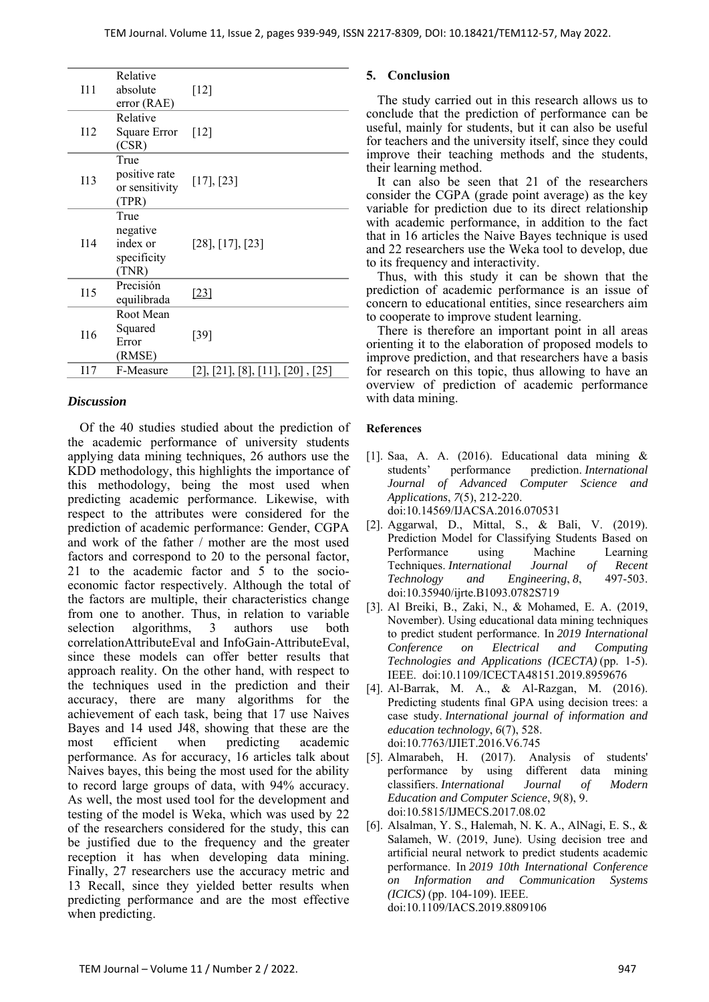| I11        | Relative<br>absolute<br>error(RAE)                   | $[12]$                           |
|------------|------------------------------------------------------|----------------------------------|
| 112        | Relative<br>Square Error<br>(CSR)                    | [12]                             |
| <b>I13</b> | True<br>positive rate<br>or sensitivity<br>(TPR)     | [17], [23]                       |
| I14        | True<br>negative<br>index or<br>specificity<br>(TNR) | $[28]$ , [17], [23]              |
| 115        | Precisión<br>equilibrada                             | [23]                             |
| I16        | Root Mean<br>Squared<br>Error<br>(RMSE)              | $[39]$                           |
| I17        | F-Measure                                            | [2], [21], [8], [11], [20], [25] |
|            |                                                      |                                  |

#### *Discussion*

Of the 40 studies studied about the prediction of the academic performance of university students applying data mining techniques, 26 authors use the KDD methodology, this highlights the importance of this methodology, being the most used when predicting academic performance. Likewise, with respect to the attributes were considered for the prediction of academic performance: Gender, CGPA and work of the father / mother are the most used factors and correspond to 20 to the personal factor, 21 to the academic factor and 5 to the socioeconomic factor respectively. Although the total of the factors are multiple, their characteristics change from one to another. Thus, in relation to variable selection algorithms, 3 authors use both correlationAttributeEval and InfoGain-AttributeEval, since these models can offer better results that approach reality. On the other hand, with respect to the techniques used in the prediction and their accuracy, there are many algorithms for the achievement of each task, being that 17 use Naives Bayes and 14 used J48, showing that these are the most efficient when predicting academic performance. As for accuracy, 16 articles talk about Naives bayes, this being the most used for the ability to record large groups of data, with 94% accuracy. As well, the most used tool for the development and testing of the model is Weka, which was used by 22 of the researchers considered for the study, this can be justified due to the frequency and the greater reception it has when developing data mining. Finally, 27 researchers use the accuracy metric and 13 Recall, since they yielded better results when predicting performance and are the most effective when predicting.

## **5. Conclusion**

The study carried out in this research allows us to conclude that the prediction of performance can be useful, mainly for students, but it can also be useful for teachers and the university itself, since they could improve their teaching methods and the students, their learning method.

It can also be seen that 21 of the researchers consider the CGPA (grade point average) as the key variable for prediction due to its direct relationship with academic performance, in addition to the fact that in 16 articles the Naive Bayes technique is used and 22 researchers use the Weka tool to develop, due to its frequency and interactivity.

Thus, with this study it can be shown that the prediction of academic performance is an issue of concern to educational entities, since researchers aim to cooperate to improve student learning.

There is therefore an important point in all areas orienting it to the elaboration of proposed models to improve prediction, and that researchers have a basis for research on this topic, thus allowing to have an overview of prediction of academic performance with data mining.

## **References**

- [1]. Saa, A. A. (2016). Educational data mining & students' performance prediction. *International Journal of Advanced Computer Science and Applications*, *7*(5), 212-220. doi:10.14569/IJACSA.2016.070531
- [2]. Aggarwal, D., Mittal, S., & Bali, V. (2019). Prediction Model for Classifying Students Based on Performance using Machine Learning Techniques. *International Journal of Recent Technology and Engineering*, *8*, 497-503. doi:10.35940/ijrte.B1093.0782S719
- [3]. Al Breiki, B., Zaki, N., & Mohamed, E. A. (2019, November). Using educational data mining techniques to predict student performance. In *2019 International Conference on Electrical and Computing Technologies and Applications (ICECTA)* (pp. 1-5). IEEE. doi:10.1109/ICECTA48151.2019.8959676
- [4]. Al-Barrak, M. A., & Al-Razgan, M. (2016). Predicting students final GPA using decision trees: a case study. *International journal of information and education technology*, *6*(7), 528. doi:10.7763/IJIET.2016.V6.745
- [5]. Almarabeh, H. (2017). Analysis of students' performance by using different data mining classifiers. *International Journal of Modern Education and Computer Science*, *9*(8), 9. doi:10.5815/IJMECS.2017.08.02
- [6]. Alsalman, Y. S., Halemah, N. K. A., AlNagi, E. S., & Salameh, W. (2019, June). Using decision tree and artificial neural network to predict students academic performance. In *2019 10th International Conference on Information and Communication Systems (ICICS)* (pp. 104-109). IEEE. doi:10.1109/IACS.2019.8809106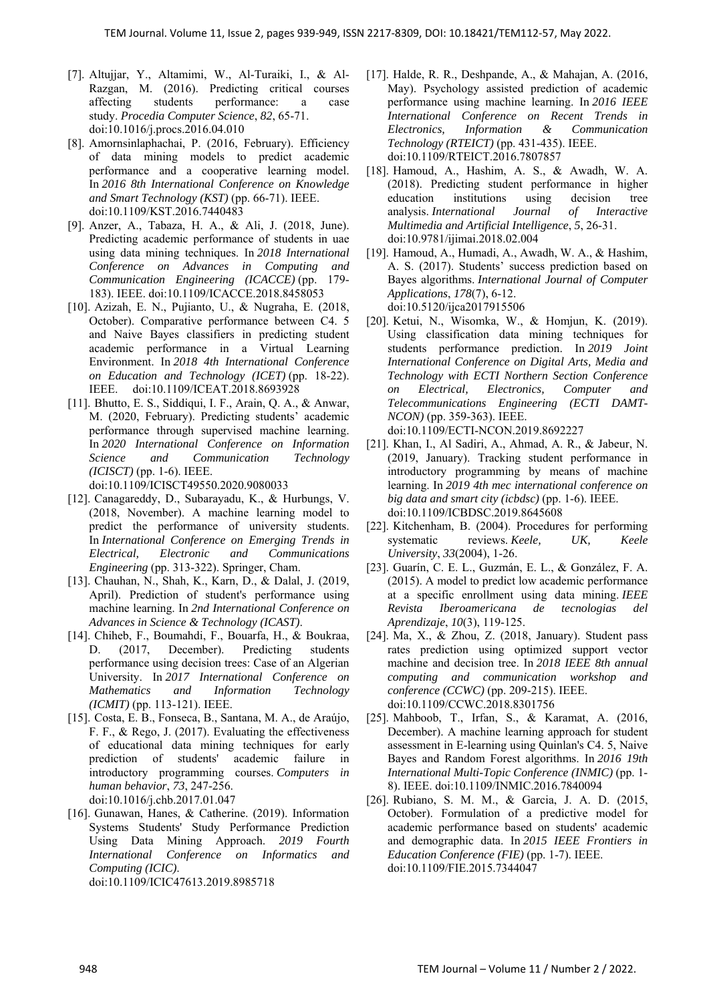- [7]. Altujjar, Y., Altamimi, W., Al-Turaiki, I., & Al-Razgan, M. (2016). Predicting critical courses affecting students performance: a case study. *Procedia Computer Science*, *82*, 65-71. doi:10.1016/j.procs.2016.04.010
- [8]. Amornsinlaphachai, P. (2016, February). Efficiency of data mining models to predict academic performance and a cooperative learning model. In *2016 8th International Conference on Knowledge and Smart Technology (KST)* (pp. 66-71). IEEE. doi:10.1109/KST.2016.7440483
- [9]. Anzer, A., Tabaza, H. A., & Ali, J. (2018, June). Predicting academic performance of students in uae using data mining techniques. In *2018 International Conference on Advances in Computing and Communication Engineering (ICACCE)* (pp. 179- 183). IEEE. doi:10.1109/ICACCE.2018.8458053
- [10]. Azizah, E. N., Pujianto, U., & Nugraha, E. (2018, October). Comparative performance between C4. 5 and Naive Bayes classifiers in predicting student academic performance in a Virtual Learning Environment. In *2018 4th International Conference on Education and Technology (ICET)* (pp. 18-22). IEEE. doi:10.1109/ICEAT.2018.8693928
- [11]. Bhutto, E. S., Siddiqui, I. F., Arain, Q. A., & Anwar, M. (2020, February). Predicting students' academic performance through supervised machine learning. In *2020 International Conference on Information Science and Communication Technology (ICISCT)* (pp. 1-6). IEEE.

doi:10.1109/ICISCT49550.2020.9080033

- [12]. Canagareddy, D., Subarayadu, K., & Hurbungs, V. (2018, November). A machine learning model to predict the performance of university students. In *International Conference on Emerging Trends in Electrical, Electronic and Communications Engineering* (pp. 313-322). Springer, Cham.
- [13]. Chauhan, N., Shah, K., Karn, D., & Dalal, J. (2019, April). Prediction of student's performance using machine learning. In *2nd International Conference on Advances in Science & Technology (ICAST)*.
- [14]. Chiheb, F., Boumahdi, F., Bouarfa, H., & Boukraa, D. (2017, December). Predicting students performance using decision trees: Case of an Algerian University. In *2017 International Conference on Mathematics and Information Technology (ICMIT)* (pp. 113-121). IEEE.
- [15]. Costa, E. B., Fonseca, B., Santana, M. A., de Araújo, F. F., & Rego, J. (2017). Evaluating the effectiveness of educational data mining techniques for early prediction of students' academic failure in introductory programming courses. *Computers in human behavior*, *73*, 247-256. doi:10.1016/j.chb.2017.01.047
- [16]. Gunawan, Hanes, & Catherine. (2019). Information Systems Students' Study Performance Prediction Using Data Mining Approach. *2019 Fourth International Conference on Informatics and Computing (ICIC)*. doi:10.1109/ICIC47613.2019.8985718
- [17]. Halde, R. R., Deshpande, A., & Mahajan, A. (2016, May). Psychology assisted prediction of academic performance using machine learning. In *2016 IEEE International Conference on Recent Trends in Electronics, Information & Communication Technology (RTEICT)* (pp. 431-435). IEEE. doi:10.1109/RTEICT.2016.7807857
- [18]. Hamoud, A., Hashim, A. S., & Awadh, W. A. (2018). Predicting student performance in higher education institutions using decision tree analysis. *International Journal of Interactive Multimedia and Artificial Intelligence*, *5*, 26-31. doi:10.9781/ijimai.2018.02.004
- [19]. Hamoud, A., Humadi, A., Awadh, W. A., & Hashim, A. S. (2017). Students' success prediction based on Bayes algorithms. *International Journal of Computer Applications*, *178*(7), 6-12. doi:10.5120/ijca2017915506
- [20]. Ketui, N., Wisomka, W., & Homjun, K. (2019). Using classification data mining techniques for students performance prediction. In *2019 Joint International Conference on Digital Arts, Media and Technology with ECTI Northern Section Conference on Electrical, Electronics, Computer and Telecommunications Engineering (ECTI DAMT-NCON)* (pp. 359-363). IEEE. doi:10.1109/ECTI-NCON.2019.8692227
- [21]. Khan, I., Al Sadiri, A., Ahmad, A. R., & Jabeur, N. (2019, January). Tracking student performance in introductory programming by means of machine learning. In *2019 4th mec international conference on big data and smart city (icbdsc)* (pp. 1-6). IEEE. doi:10.1109/ICBDSC.2019.8645608
- [22]. Kitchenham, B. (2004). Procedures for performing systematic reviews. *Keele, UK, Keele University*, *33*(2004), 1-26.
- [23]. Guarín, C. E. L., Guzmán, E. L., & González, F. A. (2015). A model to predict low academic performance at a specific enrollment using data mining. *IEEE Revista Iberoamericana de tecnologias del Aprendizaje*, *10*(3), 119-125.
- [24]. Ma, X., & Zhou, Z. (2018, January). Student pass rates prediction using optimized support vector machine and decision tree. In *2018 IEEE 8th annual computing and communication workshop and conference (CCWC)* (pp. 209-215). IEEE. doi:10.1109/CCWC.2018.8301756
- [25]. Mahboob, T., Irfan, S., & Karamat, A. (2016, December). A machine learning approach for student assessment in E-learning using Quinlan's C4. 5, Naive Bayes and Random Forest algorithms. In *2016 19th International Multi-Topic Conference (INMIC)* (pp. 1- 8). IEEE. doi:10.1109/INMIC.2016.7840094
- [26]. Rubiano, S. M. M., & Garcia, J. A. D. (2015, October). Formulation of a predictive model for academic performance based on students' academic and demographic data. In *2015 IEEE Frontiers in Education Conference (FIE)* (pp. 1-7). IEEE. doi:10.1109/FIE.2015.7344047